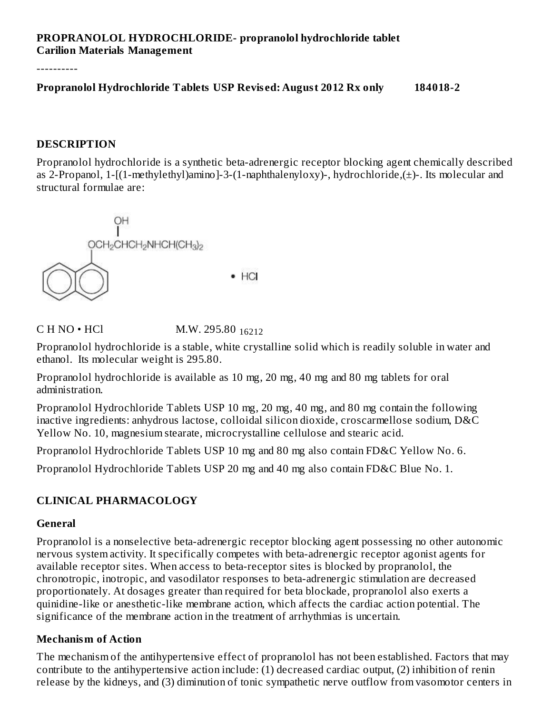### **PROPRANOLOL HYDROCHLORIDE- propranolol hydrochloride tablet Carilion Materials Management**

----------

**Propranolol Hydrochloride Tablets USP Revis ed: August 2012 Rx only 184018-2**

#### **DESCRIPTION**

Propranolol hydrochloride is a synthetic beta-adrenergic receptor blocking agent chemically described as 2-Propanol, 1-[(1-methylethyl)amino]-3-(1-naphthalenyloxy)-, hydrochloride,(±)-. Its molecular and structural formulae are:



C H NO • HCl M.W. 295.80 <sub>16212</sub>

Propranolol hydrochloride is a stable, white crystalline solid which is readily soluble in water and ethanol. Its molecular weight is 295.80.

Propranolol hydrochloride is available as 10 mg, 20 mg, 40 mg and 80 mg tablets for oral administration.

Propranolol Hydrochloride Tablets USP 10 mg, 20 mg, 40 mg, and 80 mg contain the following inactive ingredients: anhydrous lactose, colloidal silicon dioxide, croscarmellose sodium, D&C Yellow No. 10, magnesium stearate, microcrystalline cellulose and stearic acid.

Propranolol Hydrochloride Tablets USP 10 mg and 80 mg also contain FD&C Yellow No. 6.

Propranolol Hydrochloride Tablets USP 20 mg and 40 mg also contain FD&C Blue No. 1.

#### **CLINICAL PHARMACOLOGY**

#### **General**

Propranolol is a nonselective beta-adrenergic receptor blocking agent possessing no other autonomic nervous system activity. It specifically competes with beta-adrenergic receptor agonist agents for available receptor sites. When access to beta-receptor sites is blocked by propranolol, the chronotropic, inotropic, and vasodilator responses to beta-adrenergic stimulation are decreased proportionately. At dosages greater than required for beta blockade, propranolol also exerts a quinidine-like or anesthetic-like membrane action, which affects the cardiac action potential. The significance of the membrane action in the treatment of arrhythmias is uncertain.

#### **Mechanism of Action**

The mechanism of the antihypertensive effect of propranolol has not been established. Factors that may contribute to the antihypertensive action include: (1) decreased cardiac output, (2) inhibition of renin release by the kidneys, and (3) diminution of tonic sympathetic nerve outflow from vasomotor centers in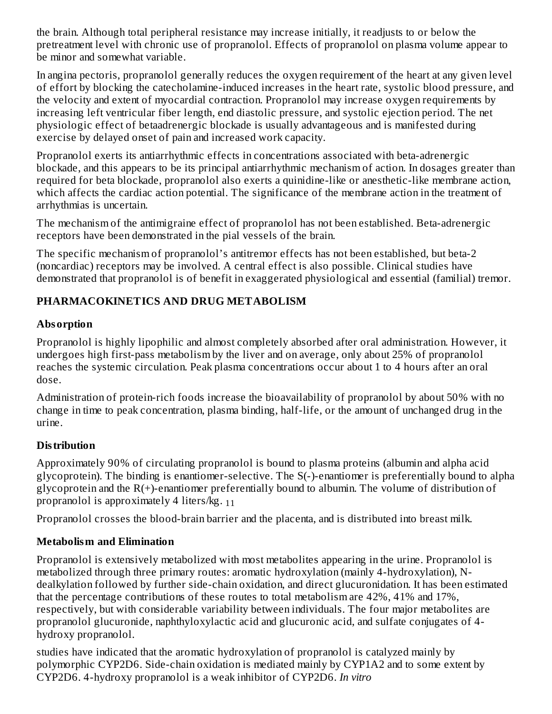the brain. Although total peripheral resistance may increase initially, it readjusts to or below the pretreatment level with chronic use of propranolol. Effects of propranolol on plasma volume appear to be minor and somewhat variable.

In angina pectoris, propranolol generally reduces the oxygen requirement of the heart at any given level of effort by blocking the catecholamine-induced increases in the heart rate, systolic blood pressure, and the velocity and extent of myocardial contraction. Propranolol may increase oxygen requirements by increasing left ventricular fiber length, end diastolic pressure, and systolic ejection period. The net physiologic effect of betaadrenergic blockade is usually advantageous and is manifested during exercise by delayed onset of pain and increased work capacity.

Propranolol exerts its antiarrhythmic effects in concentrations associated with beta-adrenergic blockade, and this appears to be its principal antiarrhythmic mechanism of action. In dosages greater than required for beta blockade, propranolol also exerts a quinidine-like or anesthetic-like membrane action, which affects the cardiac action potential. The significance of the membrane action in the treatment of arrhythmias is uncertain.

The mechanism of the antimigraine effect of propranolol has not been established. Beta-adrenergic receptors have been demonstrated in the pial vessels of the brain.

The specific mechanism of propranolol's antitremor effects has not been established, but beta-2 (noncardiac) receptors may be involved. A central effect is also possible. Clinical studies have demonstrated that propranolol is of benefit in exaggerated physiological and essential (familial) tremor.

## **PHARMACOKINETICS AND DRUG METABOLISM**

## **Absorption**

Propranolol is highly lipophilic and almost completely absorbed after oral administration. However, it undergoes high first-pass metabolism by the liver and on average, only about 25% of propranolol reaches the systemic circulation. Peak plasma concentrations occur about 1 to 4 hours after an oral dose.

Administration of protein-rich foods increase the bioavailability of propranolol by about 50% with no change in time to peak concentration, plasma binding, half-life, or the amount of unchanged drug in the urine.

# **Distribution**

Approximately 90% of circulating propranolol is bound to plasma proteins (albumin and alpha acid glycoprotein). The binding is enantiomer-selective. The S(-)-enantiomer is preferentially bound to alpha glycoprotein and the R(+)-enantiomer preferentially bound to albumin. The volume of distribution of propranolol is approximately 4 liters/kg. <sub>11</sub>

Propranolol crosses the blood-brain barrier and the placenta, and is distributed into breast milk.

# **Metabolism and Elimination**

Propranolol is extensively metabolized with most metabolites appearing in the urine. Propranolol is metabolized through three primary routes: aromatic hydroxylation (mainly 4-hydroxylation), Ndealkylation followed by further side-chain oxidation, and direct glucuronidation. It has been estimated that the percentage contributions of these routes to total metabolism are 42%, 41% and 17%, respectively, but with considerable variability between individuals. The four major metabolites are propranolol glucuronide, naphthyloxylactic acid and glucuronic acid, and sulfate conjugates of 4 hydroxy propranolol.

studies have indicated that the aromatic hydroxylation of propranolol is catalyzed mainly by polymorphic CYP2D6. Side-chain oxidation is mediated mainly by CYP1A2 and to some extent by CYP2D6. 4-hydroxy propranolol is a weak inhibitor of CYP2D6. *In vitro*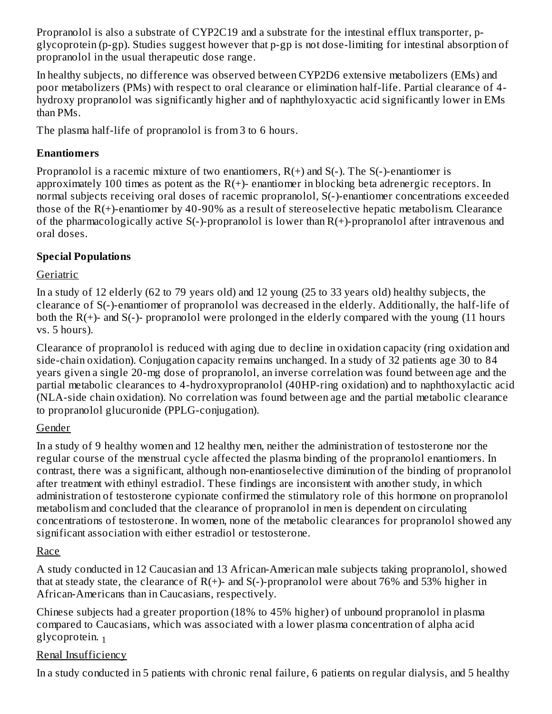Propranolol is also a substrate of CYP2C19 and a substrate for the intestinal efflux transporter, pglycoprotein (p-gp). Studies suggest however that p-gp is not dose-limiting for intestinal absorption of propranolol in the usual therapeutic dose range.

In healthy subjects, no difference was observed between CYP2D6 extensive metabolizers (EMs) and poor metabolizers (PMs) with respect to oral clearance or elimination half-life. Partial clearance of 4 hydroxy propranolol was significantly higher and of naphthyloxyactic acid significantly lower in EMs than PMs.

The plasma half-life of propranolol is from 3 to 6 hours.

## **Enantiomers**

Propranolol is a racemic mixture of two enantiomers,  $R(+)$  and  $S(-)$ . The  $S(-)$ -enantiomer is approximately 100 times as potent as the  $R(+)$ - enantiomer in blocking beta adrenergic receptors. In normal subjects receiving oral doses of racemic propranolol, S(-)-enantiomer concentrations exceeded those of the R(+)-enantiomer by 40-90% as a result of stereoselective hepatic metabolism. Clearance of the pharmacologically active S(-)-propranolol is lower than R(+)-propranolol after intravenous and oral doses.

## **Special Populations**

## Geriatric

In a study of 12 elderly (62 to 79 years old) and 12 young (25 to 33 years old) healthy subjects, the clearance of S(-)-enantiomer of propranolol was decreased in the elderly. Additionally, the half-life of both the  $R(+)$ - and  $S(-)$ - propranolol were prolonged in the elderly compared with the young (11 hours vs. 5 hours).

Clearance of propranolol is reduced with aging due to decline in oxidation capacity (ring oxidation and side-chain oxidation). Conjugation capacity remains unchanged. In a study of 32 patients age 30 to 84 years given a single 20-mg dose of propranolol, an inverse correlation was found between age and the partial metabolic clearances to 4-hydroxypropranolol (40HP-ring oxidation) and to naphthoxylactic acid (NLA-side chain oxidation). No correlation was found between age and the partial metabolic clearance to propranolol glucuronide (PPLG-conjugation).

## Gender

In a study of 9 healthy women and 12 healthy men, neither the administration of testosterone nor the regular course of the menstrual cycle affected the plasma binding of the propranolol enantiomers. In contrast, there was a significant, although non-enantioselective diminution of the binding of propranolol after treatment with ethinyl estradiol. These findings are inconsistent with another study, in which administration of testosterone cypionate confirmed the stimulatory role of this hormone on propranolol metabolism and concluded that the clearance of propranolol in men is dependent on circulating concentrations of testosterone. In women, none of the metabolic clearances for propranolol showed any significant association with either estradiol or testosterone.

## Race

A study conducted in 12 Caucasian and 13 African-American male subjects taking propranolol, showed that at steady state, the clearance of  $R(+)$ - and  $S(-)$ -propranolol were about 76% and 53% higher in African-Americans than in Caucasians, respectively.

Chinese subjects had a greater proportion (18% to 45% higher) of unbound propranolol in plasma compared to Caucasians, which was associated with a lower plasma concentration of alpha acid glycoprotein. 1

## Renal Insufficiency

In a study conducted in 5 patients with chronic renal failure, 6 patients on regular dialysis, and 5 healthy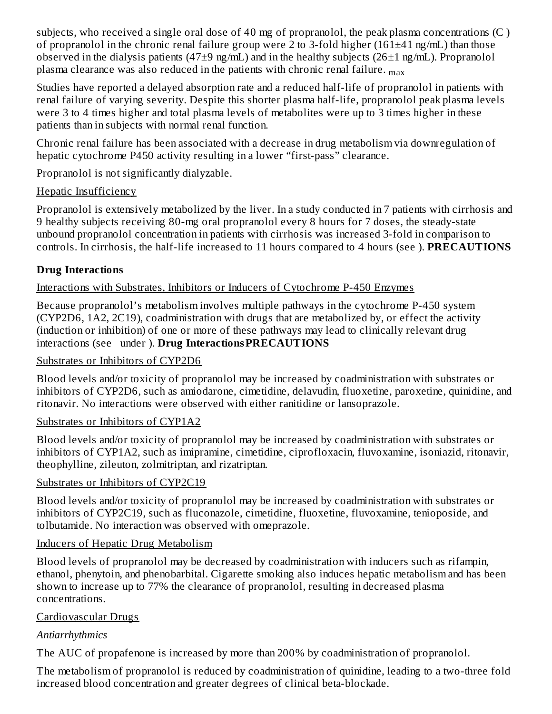subjects, who received a single oral dose of 40 mg of propranolol, the peak plasma concentrations (C ) of propranolol in the chronic renal failure group were 2 to 3-fold higher (161±41 ng/mL) than those observed in the dialysis patients (47 $\pm$ 9 ng/mL) and in the healthy subjects (26 $\pm$ 1 ng/mL). Propranolol plasma clearance was also reduced in the patients with chronic renal failure.  $_{\rm max}$ 

Studies have reported a delayed absorption rate and a reduced half-life of propranolol in patients with renal failure of varying severity. Despite this shorter plasma half-life, propranolol peak plasma levels were 3 to 4 times higher and total plasma levels of metabolites were up to 3 times higher in these patients than in subjects with normal renal function.

Chronic renal failure has been associated with a decrease in drug metabolism via downregulation of hepatic cytochrome P450 activity resulting in a lower "first-pass" clearance.

Propranolol is not significantly dialyzable.

## Hepatic Insufficiency

Propranolol is extensively metabolized by the liver. In a study conducted in 7 patients with cirrhosis and 9 healthy subjects receiving 80-mg oral propranolol every 8 hours for 7 doses, the steady-state unbound propranolol concentration in patients with cirrhosis was increased 3-fold in comparison to controls. In cirrhosis, the half-life increased to 11 hours compared to 4 hours (see ). **PRECAUTIONS**

# **Drug Interactions**

Interactions with Substrates, Inhibitors or Inducers of Cytochrome P-450 Enzymes

Because propranolol's metabolism involves multiple pathways in the cytochrome P-450 system (CYP2D6, 1A2, 2C19), coadministration with drugs that are metabolized by, or effect the activity (induction or inhibition) of one or more of these pathways may lead to clinically relevant drug interactions (see under ). **Drug InteractionsPRECAUTIONS**

### Substrates or Inhibitors of CYP2D6

Blood levels and/or toxicity of propranolol may be increased by coadministration with substrates or inhibitors of CYP2D6, such as amiodarone, cimetidine, delavudin, fluoxetine, paroxetine, quinidine, and ritonavir. No interactions were observed with either ranitidine or lansoprazole.

## Substrates or Inhibitors of CYP1A2

Blood levels and/or toxicity of propranolol may be increased by coadministration with substrates or inhibitors of CYP1A2, such as imipramine, cimetidine, ciprofloxacin, fluvoxamine, isoniazid, ritonavir, theophylline, zileuton, zolmitriptan, and rizatriptan.

## Substrates or Inhibitors of CYP2C19

Blood levels and/or toxicity of propranolol may be increased by coadministration with substrates or inhibitors of CYP2C19, such as fluconazole, cimetidine, fluoxetine, fluvoxamine, tenioposide, and tolbutamide. No interaction was observed with omeprazole.

## Inducers of Hepatic Drug Metabolism

Blood levels of propranolol may be decreased by coadministration with inducers such as rifampin, ethanol, phenytoin, and phenobarbital. Cigarette smoking also induces hepatic metabolism and has been shown to increase up to 77% the clearance of propranolol, resulting in decreased plasma concentrations.

## Cardiovascular Drugs

## *Antiarrhythmics*

The AUC of propafenone is increased by more than 200% by coadministration of propranolol.

The metabolism of propranolol is reduced by coadministration of quinidine, leading to a two-three fold increased blood concentration and greater degrees of clinical beta-blockade.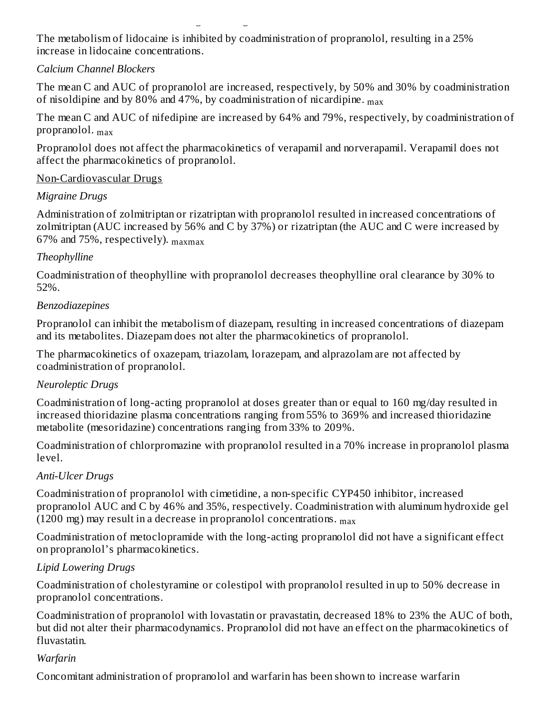The metabolism of lidocaine is inhibited by coadministration of propranolol, resulting in a 25% increase in lidocaine concentrations.

increased blood concentration and greater degrees of clinical beta-blockade.

#### *Calcium Channel Blockers*

The mean C and AUC of propranolol are increased, respectively, by 50% and 30% by coadministration of nisoldipine and by 80% and 47%, by coadministration of nicardipine.  $_{\rm max}$ 

The mean C and AUC of nifedipine are increased by 64% and 79%, respectively, by coadministration of propranolol. max

Propranolol does not affect the pharmacokinetics of verapamil and norverapamil. Verapamil does not affect the pharmacokinetics of propranolol.

#### Non-Cardiovascular Drugs

#### *Migraine Drugs*

Administration of zolmitriptan or rizatriptan with propranolol resulted in increased concentrations of zolmitriptan (AUC increased by 56% and C by 37%) or rizatriptan (the AUC and C were increased by 67% and 75%, respectively).  $_{\rm{maxmax}}$ 

### *Theophylline*

Coadministration of theophylline with propranolol decreases theophylline oral clearance by 30% to 52%.

#### *Benzodiazepines*

Propranolol can inhibit the metabolism of diazepam, resulting in increased concentrations of diazepam and its metabolites. Diazepam does not alter the pharmacokinetics of propranolol.

The pharmacokinetics of oxazepam, triazolam, lorazepam, and alprazolam are not affected by coadministration of propranolol.

### *Neuroleptic Drugs*

Coadministration of long-acting propranolol at doses greater than or equal to 160 mg/day resulted in increased thioridazine plasma concentrations ranging from 55% to 369% and increased thioridazine metabolite (mesoridazine) concentrations ranging from 33% to 209%.

Coadministration of chlorpromazine with propranolol resulted in a 70% increase in propranolol plasma level.

### *Anti-Ulcer Drugs*

Coadministration of propranolol with cimetidine, a non-specific CYP450 inhibitor, increased propranolol AUC and C by 46% and 35%, respectively. Coadministration with aluminum hydroxide gel (1200 mg) may result in a decrease in propranolol concentrations.  $_{\rm max}$ 

Coadministration of metoclopramide with the long-acting propranolol did not have a significant effect on propranolol's pharmacokinetics.

### *Lipid Lowering Drugs*

Coadministration of cholestyramine or colestipol with propranolol resulted in up to 50% decrease in propranolol concentrations.

Coadministration of propranolol with lovastatin or pravastatin, decreased 18% to 23% the AUC of both, but did not alter their pharmacodynamics. Propranolol did not have an effect on the pharmacokinetics of fluvastatin.

### *Warfarin*

Concomitant administration of propranolol and warfarin has been shown to increase warfarin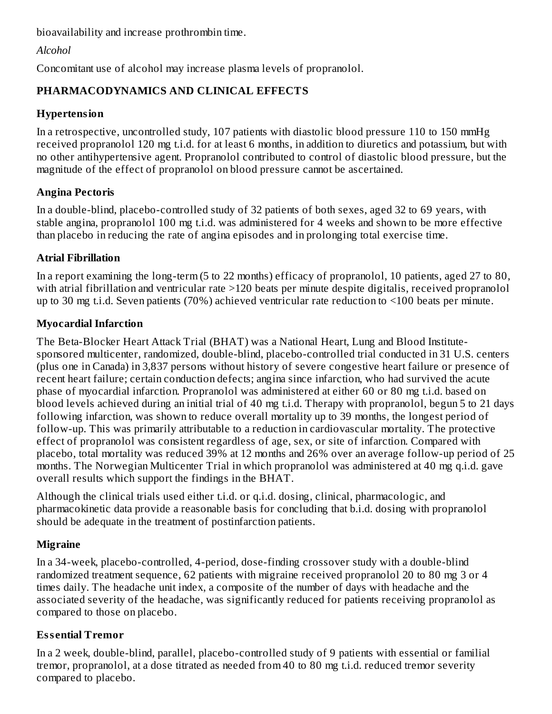bioavailability and increase prothrombin time.

## *Alcohol*

Concomitant use of alcohol may increase plasma levels of propranolol.

## **PHARMACODYNAMICS AND CLINICAL EFFECTS**

## **Hypertension**

In a retrospective, uncontrolled study, 107 patients with diastolic blood pressure 110 to 150 mmHg received propranolol 120 mg t.i.d. for at least 6 months, in addition to diuretics and potassium, but with no other antihypertensive agent. Propranolol contributed to control of diastolic blood pressure, but the magnitude of the effect of propranolol on blood pressure cannot be ascertained.

## **Angina Pectoris**

In a double-blind, placebo-controlled study of 32 patients of both sexes, aged 32 to 69 years, with stable angina, propranolol 100 mg t.i.d. was administered for 4 weeks and shown to be more effective than placebo in reducing the rate of angina episodes and in prolonging total exercise time.

## **Atrial Fibrillation**

In a report examining the long-term (5 to 22 months) efficacy of propranolol, 10 patients, aged 27 to 80, with atrial fibrillation and ventricular rate >120 beats per minute despite digitalis, received propranolol up to 30 mg t.i.d. Seven patients (70%) achieved ventricular rate reduction to <100 beats per minute.

## **Myocardial Infarction**

The Beta-Blocker Heart Attack Trial (BHAT) was a National Heart, Lung and Blood Institutesponsored multicenter, randomized, double-blind, placebo-controlled trial conducted in 31 U.S. centers (plus one in Canada) in 3,837 persons without history of severe congestive heart failure or presence of recent heart failure; certain conduction defects; angina since infarction, who had survived the acute phase of myocardial infarction. Propranolol was administered at either 60 or 80 mg t.i.d. based on blood levels achieved during an initial trial of 40 mg t.i.d. Therapy with propranolol, begun 5 to 21 days following infarction, was shown to reduce overall mortality up to 39 months, the longest period of follow-up. This was primarily attributable to a reduction in cardiovascular mortality. The protective effect of propranolol was consistent regardless of age, sex, or site of infarction. Compared with placebo, total mortality was reduced 39% at 12 months and 26% over an average follow-up period of 25 months. The Norwegian Multicenter Trial in which propranolol was administered at 40 mg q.i.d. gave overall results which support the findings in the BHAT.

Although the clinical trials used either t.i.d. or q.i.d. dosing, clinical, pharmacologic, and pharmacokinetic data provide a reasonable basis for concluding that b.i.d. dosing with propranolol should be adequate in the treatment of postinfarction patients.

# **Migraine**

In a 34-week, placebo-controlled, 4-period, dose-finding crossover study with a double-blind randomized treatment sequence, 62 patients with migraine received propranolol 20 to 80 mg 3 or 4 times daily. The headache unit index, a composite of the number of days with headache and the associated severity of the headache, was significantly reduced for patients receiving propranolol as compared to those on placebo.

# **Ess ential Tremor**

In a 2 week, double-blind, parallel, placebo-controlled study of 9 patients with essential or familial tremor, propranolol, at a dose titrated as needed from 40 to 80 mg t.i.d. reduced tremor severity compared to placebo.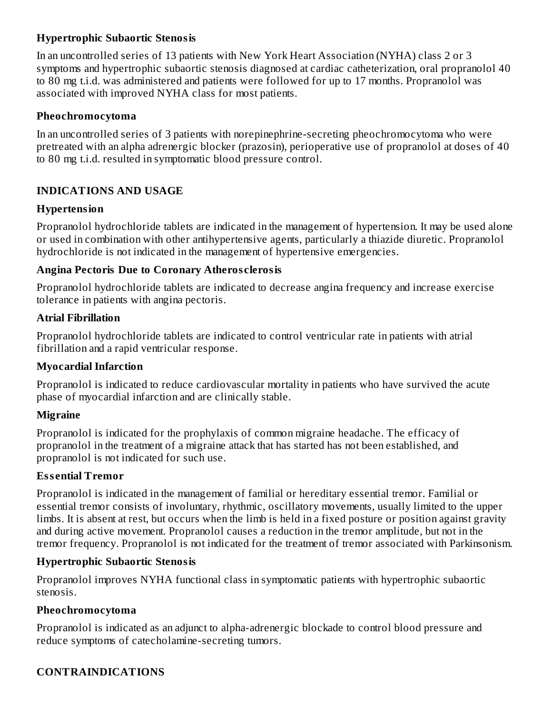### **Hypertrophic Subaortic Stenosis**

In an uncontrolled series of 13 patients with New York Heart Association (NYHA) class 2 or 3 symptoms and hypertrophic subaortic stenosis diagnosed at cardiac catheterization, oral propranolol 40 to 80 mg t.i.d. was administered and patients were followed for up to 17 months. Propranolol was associated with improved NYHA class for most patients.

### **Pheochromocytoma**

In an uncontrolled series of 3 patients with norepinephrine-secreting pheochromocytoma who were pretreated with an alpha adrenergic blocker (prazosin), perioperative use of propranolol at doses of 40 to 80 mg t.i.d. resulted in symptomatic blood pressure control.

### **INDICATIONS AND USAGE**

### **Hypertension**

Propranolol hydrochloride tablets are indicated in the management of hypertension. It may be used alone or used in combination with other antihypertensive agents, particularly a thiazide diuretic. Propranolol hydrochloride is not indicated in the management of hypertensive emergencies.

### **Angina Pectoris Due to Coronary Atheros clerosis**

Propranolol hydrochloride tablets are indicated to decrease angina frequency and increase exercise tolerance in patients with angina pectoris.

### **Atrial Fibrillation**

Propranolol hydrochloride tablets are indicated to control ventricular rate in patients with atrial fibrillation and a rapid ventricular response.

## **Myocardial Infarction**

Propranolol is indicated to reduce cardiovascular mortality in patients who have survived the acute phase of myocardial infarction and are clinically stable.

## **Migraine**

Propranolol is indicated for the prophylaxis of common migraine headache. The efficacy of propranolol in the treatment of a migraine attack that has started has not been established, and propranolol is not indicated for such use.

## **Ess ential Tremor**

Propranolol is indicated in the management of familial or hereditary essential tremor. Familial or essential tremor consists of involuntary, rhythmic, oscillatory movements, usually limited to the upper limbs. It is absent at rest, but occurs when the limb is held in a fixed posture or position against gravity and during active movement. Propranolol causes a reduction in the tremor amplitude, but not in the tremor frequency. Propranolol is not indicated for the treatment of tremor associated with Parkinsonism.

## **Hypertrophic Subaortic Stenosis**

Propranolol improves NYHA functional class in symptomatic patients with hypertrophic subaortic stenosis.

### **Pheochromocytoma**

Propranolol is indicated as an adjunct to alpha-adrenergic blockade to control blood pressure and reduce symptoms of catecholamine-secreting tumors.

## **CONTRAINDICATIONS**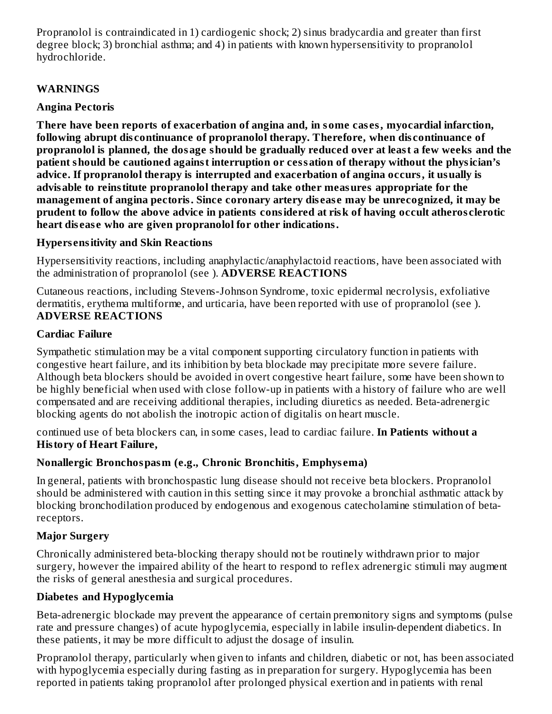Propranolol is contraindicated in 1) cardiogenic shock; 2) sinus bradycardia and greater than first degree block; 3) bronchial asthma; and 4) in patients with known hypersensitivity to propranolol hydrochloride.

## **WARNINGS**

## **Angina Pectoris**

**There have been reports of exacerbation of angina and, in some cas es, myocardial infarction, following abrupt dis continuance of propranolol therapy. Therefore, when dis continuance of propranolol is planned, the dosage should be gradually reduced over at least a few weeks and the patient should be cautioned against interruption or cessation of therapy without the physician's advice. If propranolol therapy is interrupted and exacerbation of angina occurs, it usually is advisable to reinstitute propranolol therapy and take other measures appropriate for the management of angina pectoris. Since coronary artery dis eas e may be unrecognized, it may be prudent to follow the above advice in patients considered at risk of having occult atheros clerotic heart dis eas e who are given propranolol for other indications.**

## **Hypers ensitivity and Skin Reactions**

Hypersensitivity reactions, including anaphylactic/anaphylactoid reactions, have been associated with the administration of propranolol (see ). **ADVERSE REACTIONS**

Cutaneous reactions, including Stevens-Johnson Syndrome, toxic epidermal necrolysis, exfoliative dermatitis, erythema multiforme, and urticaria, have been reported with use of propranolol (see ). **ADVERSE REACTIONS**

## **Cardiac Failure**

Sympathetic stimulation may be a vital component supporting circulatory function in patients with congestive heart failure, and its inhibition by beta blockade may precipitate more severe failure. Although beta blockers should be avoided in overt congestive heart failure, some have been shown to be highly beneficial when used with close follow-up in patients with a history of failure who are well compensated and are receiving additional therapies, including diuretics as needed. Beta-adrenergic blocking agents do not abolish the inotropic action of digitalis on heart muscle.

continued use of beta blockers can, in some cases, lead to cardiac failure. **In Patients without a History of Heart Failure,**

# **Nonallergic Bronchospasm (e.g., Chronic Bronchitis, Emphys ema)**

In general, patients with bronchospastic lung disease should not receive beta blockers. Propranolol should be administered with caution in this setting since it may provoke a bronchial asthmatic attack by blocking bronchodilation produced by endogenous and exogenous catecholamine stimulation of betareceptors.

# **Major Surgery**

Chronically administered beta-blocking therapy should not be routinely withdrawn prior to major surgery, however the impaired ability of the heart to respond to reflex adrenergic stimuli may augment the risks of general anesthesia and surgical procedures.

# **Diabetes and Hypoglycemia**

Beta-adrenergic blockade may prevent the appearance of certain premonitory signs and symptoms (pulse rate and pressure changes) of acute hypoglycemia, especially in labile insulin-dependent diabetics. In these patients, it may be more difficult to adjust the dosage of insulin.

Propranolol therapy, particularly when given to infants and children, diabetic or not, has been associated with hypoglycemia especially during fasting as in preparation for surgery. Hypoglycemia has been reported in patients taking propranolol after prolonged physical exertion and in patients with renal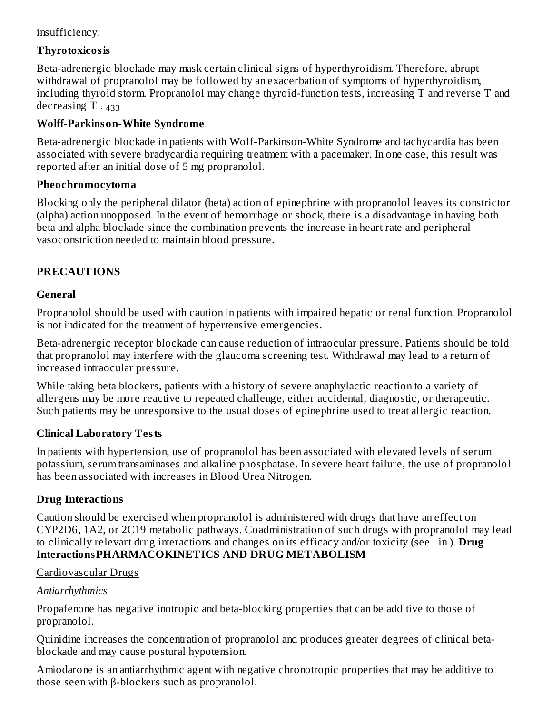### insufficiency.

### **Thyrotoxicosis**

Beta-adrenergic blockade may mask certain clinical signs of hyperthyroidism. Therefore, abrupt withdrawal of propranolol may be followed by an exacerbation of symptoms of hyperthyroidism, including thyroid storm. Propranolol may change thyroid-function tests, increasing T and reverse T and decreasing T . 433

### **Wolff-Parkinson-White Syndrome**

Beta-adrenergic blockade in patients with Wolf-Parkinson-White Syndrome and tachycardia has been associated with severe bradycardia requiring treatment with a pacemaker. In one case, this result was reported after an initial dose of 5 mg propranolol.

### **Pheochromocytoma**

Blocking only the peripheral dilator (beta) action of epinephrine with propranolol leaves its constrictor (alpha) action unopposed. In the event of hemorrhage or shock, there is a disadvantage in having both beta and alpha blockade since the combination prevents the increase in heart rate and peripheral vasoconstriction needed to maintain blood pressure.

## **PRECAUTIONS**

### **General**

Propranolol should be used with caution in patients with impaired hepatic or renal function. Propranolol is not indicated for the treatment of hypertensive emergencies.

Beta-adrenergic receptor blockade can cause reduction of intraocular pressure. Patients should be told that propranolol may interfere with the glaucoma screening test. Withdrawal may lead to a return of increased intraocular pressure.

While taking beta blockers, patients with a history of severe anaphylactic reaction to a variety of allergens may be more reactive to repeated challenge, either accidental, diagnostic, or therapeutic. Such patients may be unresponsive to the usual doses of epinephrine used to treat allergic reaction.

## **Clinical Laboratory Tests**

In patients with hypertension, use of propranolol has been associated with elevated levels of serum potassium, serum transaminases and alkaline phosphatase. In severe heart failure, the use of propranolol has been associated with increases in Blood Urea Nitrogen.

## **Drug Interactions**

Caution should be exercised when propranolol is administered with drugs that have an effect on CYP2D6, 1A2, or 2C19 metabolic pathways. Coadministration of such drugs with propranolol may lead to clinically relevant drug interactions and changes on its efficacy and/or toxicity (see in ). **Drug InteractionsPHARMACOKINETICS AND DRUG METABOLISM**

### Cardiovascular Drugs

## *Antiarrhythmics*

Propafenone has negative inotropic and beta-blocking properties that can be additive to those of propranolol.

Quinidine increases the concentration of propranolol and produces greater degrees of clinical betablockade and may cause postural hypotension.

Amiodarone is an antiarrhythmic agent with negative chronotropic properties that may be additive to those seen with β-blockers such as propranolol.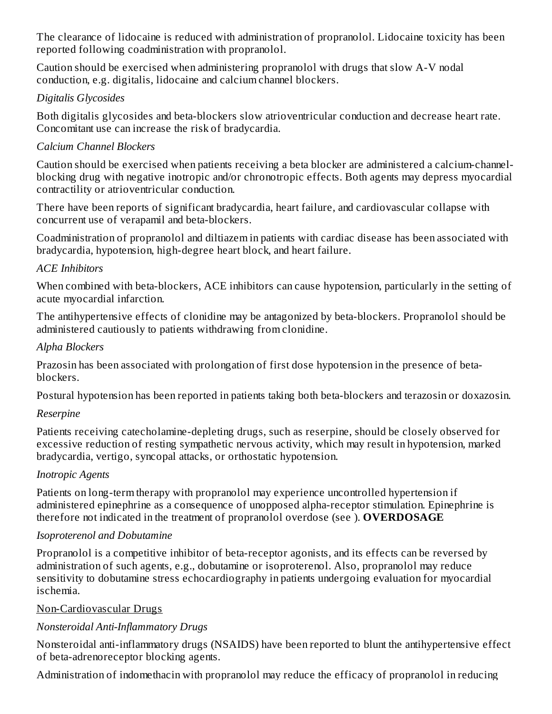The clearance of lidocaine is reduced with administration of propranolol. Lidocaine toxicity has been reported following coadministration with propranolol.

Caution should be exercised when administering propranolol with drugs that slow A-V nodal conduction, e.g. digitalis, lidocaine and calcium channel blockers.

### *Digitalis Glycosides*

Both digitalis glycosides and beta-blockers slow atrioventricular conduction and decrease heart rate. Concomitant use can increase the risk of bradycardia.

### *Calcium Channel Blockers*

Caution should be exercised when patients receiving a beta blocker are administered a calcium-channelblocking drug with negative inotropic and/or chronotropic effects. Both agents may depress myocardial contractility or atrioventricular conduction.

There have been reports of significant bradycardia, heart failure, and cardiovascular collapse with concurrent use of verapamil and beta-blockers.

Coadministration of propranolol and diltiazem in patients with cardiac disease has been associated with bradycardia, hypotension, high-degree heart block, and heart failure.

### *ACE Inhibitors*

When combined with beta-blockers, ACE inhibitors can cause hypotension, particularly in the setting of acute myocardial infarction.

The antihypertensive effects of clonidine may be antagonized by beta-blockers. Propranolol should be administered cautiously to patients withdrawing from clonidine.

### *Alpha Blockers*

Prazosin has been associated with prolongation of first dose hypotension in the presence of betablockers.

Postural hypotension has been reported in patients taking both beta-blockers and terazosin or doxazosin.

### *Reserpine*

Patients receiving catecholamine-depleting drugs, such as reserpine, should be closely observed for excessive reduction of resting sympathetic nervous activity, which may result in hypotension, marked bradycardia, vertigo, syncopal attacks, or orthostatic hypotension.

### *Inotropic Agents*

Patients on long-term therapy with propranolol may experience uncontrolled hypertension if administered epinephrine as a consequence of unopposed alpha-receptor stimulation. Epinephrine is therefore not indicated in the treatment of propranolol overdose (see ). **OVERDOSAGE**

## *Isoproterenol and Dobutamine*

Propranolol is a competitive inhibitor of beta-receptor agonists, and its effects can be reversed by administration of such agents, e.g., dobutamine or isoproterenol. Also, propranolol may reduce sensitivity to dobutamine stress echocardiography in patients undergoing evaluation for myocardial ischemia.

### Non-Cardiovascular Drugs

## *Nonsteroidal Anti-Inflammatory Drugs*

Nonsteroidal anti-inflammatory drugs (NSAIDS) have been reported to blunt the antihypertensive effect of beta-adrenoreceptor blocking agents.

Administration of indomethacin with propranolol may reduce the efficacy of propranolol in reducing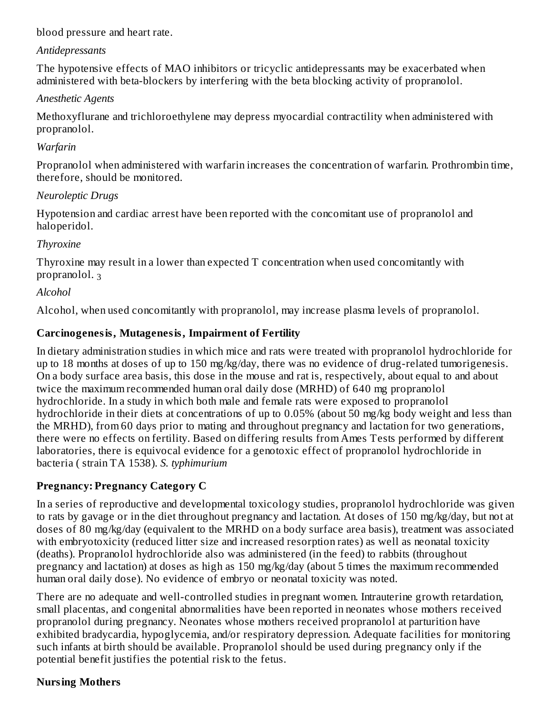blood pressure and heart rate.

### *Antidepressants*

The hypotensive effects of MAO inhibitors or tricyclic antidepressants may be exacerbated when administered with beta-blockers by interfering with the beta blocking activity of propranolol.

## *Anesthetic Agents*

Methoxyflurane and trichloroethylene may depress myocardial contractility when administered with propranolol.

### *Warfarin*

Propranolol when administered with warfarin increases the concentration of warfarin. Prothrombin time, therefore, should be monitored.

### *Neuroleptic Drugs*

Hypotension and cardiac arrest have been reported with the concomitant use of propranolol and haloperidol.

### *Thyroxine*

Thyroxine may result in a lower than expected T concentration when used concomitantly with propranolol. <sub>3</sub>

## *Alcohol*

Alcohol, when used concomitantly with propranolol, may increase plasma levels of propranolol.

## **Carcinogenesis, Mutagenesis, Impairment of Fertility**

In dietary administration studies in which mice and rats were treated with propranolol hydrochloride for up to 18 months at doses of up to 150 mg/kg/day, there was no evidence of drug-related tumorigenesis. On a body surface area basis, this dose in the mouse and rat is, respectively, about equal to and about twice the maximum recommended human oral daily dose (MRHD) of 640 mg propranolol hydrochloride. In a study in which both male and female rats were exposed to propranolol hydrochloride in their diets at concentrations of up to 0.05% (about 50 mg/kg body weight and less than the MRHD), from 60 days prior to mating and throughout pregnancy and lactation for two generations, there were no effects on fertility. Based on differing results from Ames Tests performed by different laboratories, there is equivocal evidence for a genotoxic effect of propranolol hydrochloride in bacteria ( strain TA 1538). *S. typhimurium*

## **Pregnancy: Pregnancy Category C**

In a series of reproductive and developmental toxicology studies, propranolol hydrochloride was given to rats by gavage or in the diet throughout pregnancy and lactation. At doses of 150 mg/kg/day, but not at doses of 80 mg/kg/day (equivalent to the MRHD on a body surface area basis), treatment was associated with embryotoxicity (reduced litter size and increased resorption rates) as well as neonatal toxicity (deaths). Propranolol hydrochloride also was administered (in the feed) to rabbits (throughout pregnancy and lactation) at doses as high as 150 mg/kg/day (about 5 times the maximum recommended human oral daily dose). No evidence of embryo or neonatal toxicity was noted.

There are no adequate and well-controlled studies in pregnant women. Intrauterine growth retardation, small placentas, and congenital abnormalities have been reported in neonates whose mothers received propranolol during pregnancy. Neonates whose mothers received propranolol at parturition have exhibited bradycardia, hypoglycemia, and/or respiratory depression. Adequate facilities for monitoring such infants at birth should be available. Propranolol should be used during pregnancy only if the potential benefit justifies the potential risk to the fetus.

## **Nursing Mothers**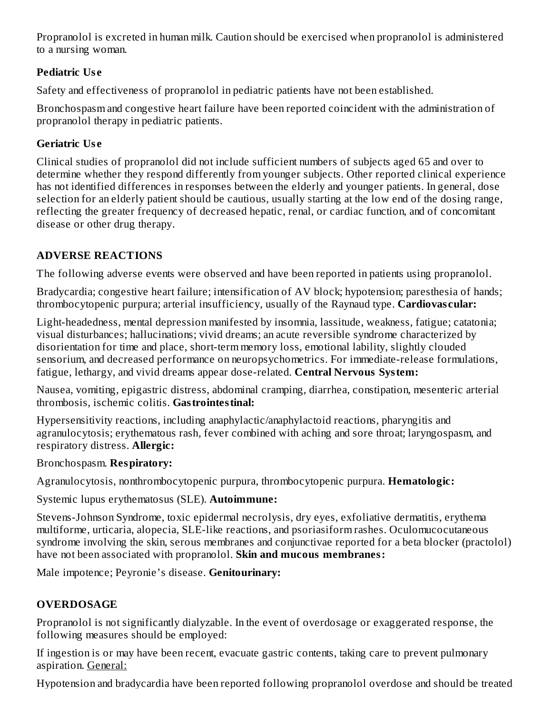Propranolol is excreted in human milk. Caution should be exercised when propranolol is administered to a nursing woman.

## **Pediatric Us e**

Safety and effectiveness of propranolol in pediatric patients have not been established.

Bronchospasm and congestive heart failure have been reported coincident with the administration of propranolol therapy in pediatric patients.

# **Geriatric Us e**

Clinical studies of propranolol did not include sufficient numbers of subjects aged 65 and over to determine whether they respond differently from younger subjects. Other reported clinical experience has not identified differences in responses between the elderly and younger patients. In general, dose selection for an elderly patient should be cautious, usually starting at the low end of the dosing range, reflecting the greater frequency of decreased hepatic, renal, or cardiac function, and of concomitant disease or other drug therapy.

# **ADVERSE REACTIONS**

The following adverse events were observed and have been reported in patients using propranolol.

Bradycardia; congestive heart failure; intensification of AV block; hypotension; paresthesia of hands; thrombocytopenic purpura; arterial insufficiency, usually of the Raynaud type. **Cardiovas cular:**

Light-headedness, mental depression manifested by insomnia, lassitude, weakness, fatigue; catatonia; visual disturbances; hallucinations; vivid dreams; an acute reversible syndrome characterized by disorientation for time and place, short-term memory loss, emotional lability, slightly clouded sensorium, and decreased performance on neuropsychometrics. For immediate-release formulations, fatigue, lethargy, and vivid dreams appear dose-related. **Central Nervous System:**

Nausea, vomiting, epigastric distress, abdominal cramping, diarrhea, constipation, mesenteric arterial thrombosis, ischemic colitis. **Gastrointestinal:**

Hypersensitivity reactions, including anaphylactic/anaphylactoid reactions, pharyngitis and agranulocytosis; erythematous rash, fever combined with aching and sore throat; laryngospasm, and respiratory distress. **Allergic:**

Bronchospasm. **Respiratory:**

Agranulocytosis, nonthrombocytopenic purpura, thrombocytopenic purpura. **Hematologic:**

Systemic lupus erythematosus (SLE). **Autoimmune:**

Stevens-Johnson Syndrome, toxic epidermal necrolysis, dry eyes, exfoliative dermatitis, erythema multiforme, urticaria, alopecia, SLE-like reactions, and psoriasiform rashes. Oculomucocutaneous syndrome involving the skin, serous membranes and conjunctivae reported for a beta blocker (practolol) have not been associated with propranolol. **Skin and mucous membranes:**

Male impotence; Peyronie's disease. **Genitourinary:**

# **OVERDOSAGE**

Propranolol is not significantly dialyzable. In the event of overdosage or exaggerated response, the following measures should be employed:

If ingestion is or may have been recent, evacuate gastric contents, taking care to prevent pulmonary aspiration. General:

Hypotension and bradycardia have been reported following propranolol overdose and should be treated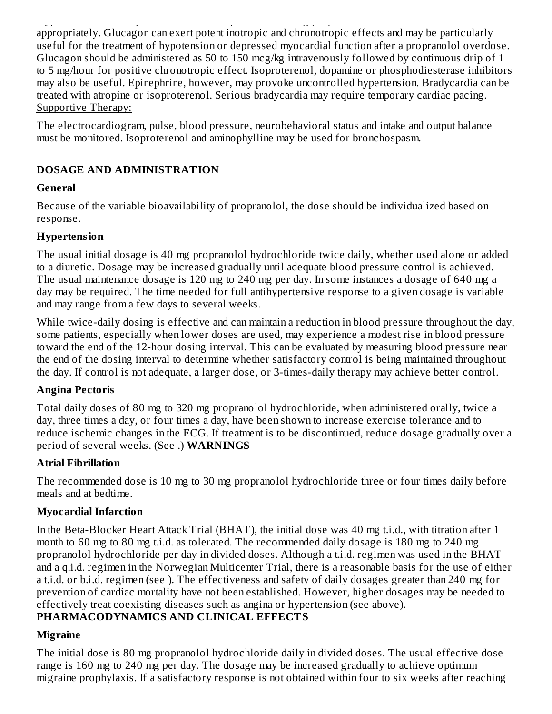Hypotension and bradycardia have been reported following propranolol overdose and should be treated appropriately. Glucagon can exert potent inotropic and chronotropic effects and may be particularly useful for the treatment of hypotension or depressed myocardial function after a propranolol overdose. Glucagon should be administered as 50 to 150 mcg/kg intravenously followed by continuous drip of 1 to 5 mg/hour for positive chronotropic effect. Isoproterenol, dopamine or phosphodiesterase inhibitors may also be useful. Epinephrine, however, may provoke uncontrolled hypertension. Bradycardia can be treated with atropine or isoproterenol. Serious bradycardia may require temporary cardiac pacing. Supportive Therapy:

The electrocardiogram, pulse, blood pressure, neurobehavioral status and intake and output balance must be monitored. Isoproterenol and aminophylline may be used for bronchospasm.

## **DOSAGE AND ADMINISTRATION**

## **General**

Because of the variable bioavailability of propranolol, the dose should be individualized based on response.

## **Hypertension**

The usual initial dosage is 40 mg propranolol hydrochloride twice daily, whether used alone or added to a diuretic. Dosage may be increased gradually until adequate blood pressure control is achieved. The usual maintenance dosage is 120 mg to 240 mg per day. In some instances a dosage of 640 mg a day may be required. The time needed for full antihypertensive response to a given dosage is variable and may range from a few days to several weeks.

While twice-daily dosing is effective and can maintain a reduction in blood pressure throughout the day, some patients, especially when lower doses are used, may experience a modest rise in blood pressure toward the end of the 12-hour dosing interval. This can be evaluated by measuring blood pressure near the end of the dosing interval to determine whether satisfactory control is being maintained throughout the day. If control is not adequate, a larger dose, or 3-times-daily therapy may achieve better control.

## **Angina Pectoris**

Total daily doses of 80 mg to 320 mg propranolol hydrochloride, when administered orally, twice a day, three times a day, or four times a day, have been shown to increase exercise tolerance and to reduce ischemic changes in the ECG. If treatment is to be discontinued, reduce dosage gradually over a period of several weeks. (See .) **WARNINGS**

# **Atrial Fibrillation**

The recommended dose is 10 mg to 30 mg propranolol hydrochloride three or four times daily before meals and at bedtime.

# **Myocardial Infarction**

In the Beta-Blocker Heart Attack Trial (BHAT), the initial dose was 40 mg t.i.d., with titration after 1 month to 60 mg to 80 mg t.i.d. as tolerated. The recommended daily dosage is 180 mg to 240 mg propranolol hydrochloride per day in divided doses. Although a t.i.d. regimen was used in the BHAT and a q.i.d. regimen in the Norwegian Multicenter Trial, there is a reasonable basis for the use of either a t.i.d. or b.i.d. regimen (see ). The effectiveness and safety of daily dosages greater than 240 mg for prevention of cardiac mortality have not been established. However, higher dosages may be needed to effectively treat coexisting diseases such as angina or hypertension (see above).

# **PHARMACODYNAMICS AND CLINICAL EFFECTS**

# **Migraine**

The initial dose is 80 mg propranolol hydrochloride daily in divided doses. The usual effective dose range is 160 mg to 240 mg per day. The dosage may be increased gradually to achieve optimum migraine prophylaxis. If a satisfactory response is not obtained within four to six weeks after reaching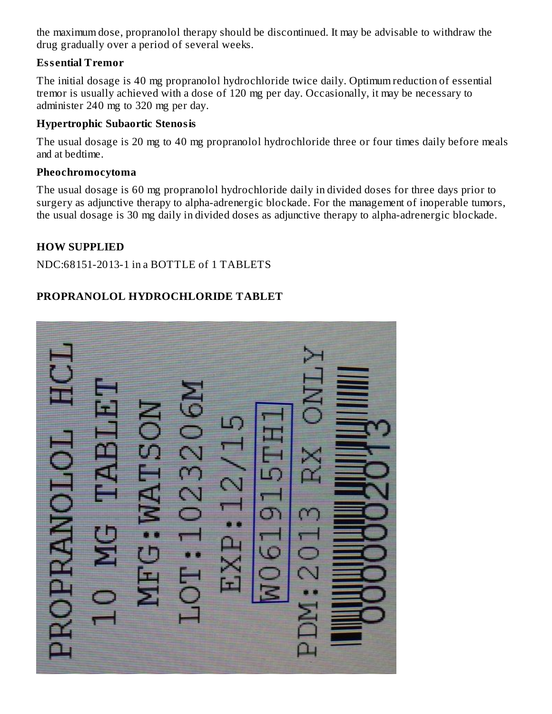the maximum dose, propranolol therapy should be discontinued. It may be advisable to withdraw the drug gradually over a period of several weeks.

### **Ess ential Tremor**

The initial dosage is 40 mg propranolol hydrochloride twice daily. Optimum reduction of essential tremor is usually achieved with a dose of 120 mg per day. Occasionally, it may be necessary to administer 240 mg to 320 mg per day.

#### **Hypertrophic Subaortic Stenosis**

The usual dosage is 20 mg to 40 mg propranolol hydrochloride three or four times daily before meals and at bedtime.

#### **Pheochromocytoma**

The usual dosage is 60 mg propranolol hydrochloride daily in divided doses for three days prior to surgery as adjunctive therapy to alpha-adrenergic blockade. For the management of inoperable tumors, the usual dosage is 30 mg daily in divided doses as adjunctive therapy to alpha-adrenergic blockade.

### **HOW SUPPLIED**

NDC:68151-2013-1 in a BOTTLE of 1 TABLETS

## **PROPRANOLOL HYDROCHLORIDE TABLET**

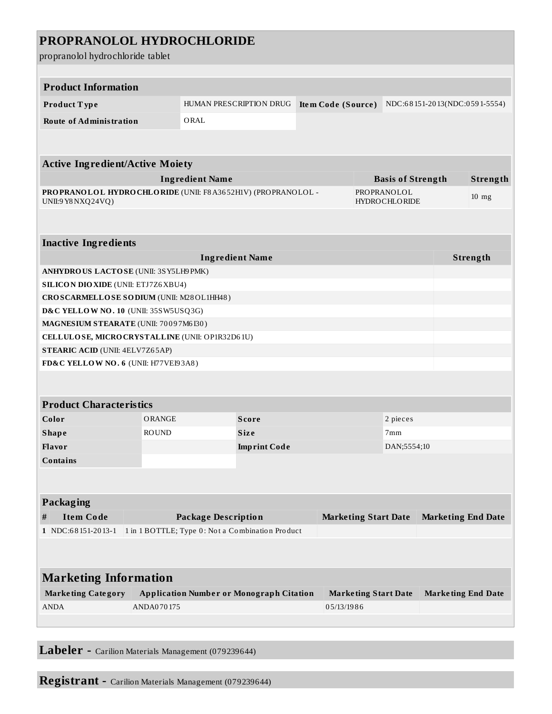| PROPRANOLOL HYDROCHLORIDE<br>propranolol hydrochloride tablet                                               |                                                  |                                                 |                                     |                    |                             |             |                               |  |  |
|-------------------------------------------------------------------------------------------------------------|--------------------------------------------------|-------------------------------------------------|-------------------------------------|--------------------|-----------------------------|-------------|-------------------------------|--|--|
|                                                                                                             |                                                  |                                                 |                                     |                    |                             |             |                               |  |  |
| <b>Product Information</b>                                                                                  |                                                  |                                                 |                                     |                    |                             |             |                               |  |  |
| Product Type                                                                                                |                                                  |                                                 | HUMAN PRESCRIPTION DRUG             | Item Code (Source) |                             |             | NDC:68151-2013(NDC:0591-5554) |  |  |
| <b>Route of Administration</b>                                                                              |                                                  | ORAL                                            |                                     |                    |                             |             |                               |  |  |
|                                                                                                             |                                                  |                                                 |                                     |                    |                             |             |                               |  |  |
| <b>Active Ingredient/Active Moiety</b>                                                                      |                                                  |                                                 |                                     |                    |                             |             |                               |  |  |
|                                                                                                             |                                                  |                                                 | <b>Basis of Strength</b>            |                    |                             | Strength    |                               |  |  |
| <b>Ingredient Name</b><br>PROPRANOLOL HYDROCHLORIDE (UNII: F8A3652H1V) (PROPRANOLOL -<br>UNII:9 Y8 NXQ24VQ) |                                                  |                                                 | PROPRANOLOL<br><b>HYDROCHLORIDE</b> |                    |                             |             | $10$ mg                       |  |  |
|                                                                                                             |                                                  |                                                 |                                     |                    |                             |             |                               |  |  |
| <b>Inactive Ingredients</b>                                                                                 |                                                  |                                                 |                                     |                    |                             |             |                               |  |  |
| <b>Ingredient Name</b>                                                                                      |                                                  |                                                 |                                     |                    |                             | Strength    |                               |  |  |
| ANHYDROUS LACTOSE (UNII: 3SY5LH9PMK)                                                                        |                                                  |                                                 |                                     |                    |                             |             |                               |  |  |
| <b>SILICON DIO XIDE (UNII: ETJ7Z6 XBU4)</b>                                                                 |                                                  |                                                 |                                     |                    |                             |             |                               |  |  |
| CROSCARMELLOSE SODIUM (UNII: M28OL1HH48)                                                                    |                                                  |                                                 |                                     |                    |                             |             |                               |  |  |
| D&C YELLOW NO. 10 (UNII: 35SW5USQ3G)                                                                        |                                                  |                                                 |                                     |                    |                             |             |                               |  |  |
| MAGNESIUM STEARATE (UNII: 70097M6I30)                                                                       |                                                  |                                                 |                                     |                    |                             |             |                               |  |  |
| CELLULOSE, MICRO CRYSTALLINE (UNII: OP1R32D61U)                                                             |                                                  |                                                 |                                     |                    |                             |             |                               |  |  |
| <b>STEARIC ACID (UNII: 4ELV7Z65AP)</b>                                                                      |                                                  |                                                 |                                     |                    |                             |             |                               |  |  |
| FD&C YELLOW NO. 6 (UNII: H77VEI93A8)                                                                        |                                                  |                                                 |                                     |                    |                             |             |                               |  |  |
|                                                                                                             |                                                  |                                                 |                                     |                    |                             |             |                               |  |  |
| <b>Product Characteristics</b>                                                                              |                                                  |                                                 |                                     |                    |                             |             |                               |  |  |
| Color                                                                                                       | ORANGE                                           |                                                 | <b>Score</b>                        |                    | 2 pieces                    |             |                               |  |  |
| Shape                                                                                                       | <b>ROUND</b>                                     |                                                 | Size                                |                    |                             | 7mm         |                               |  |  |
| Flavor                                                                                                      |                                                  |                                                 | <b>Imprint Code</b>                 |                    |                             | DAN;5554;10 |                               |  |  |
| <b>Contains</b>                                                                                             |                                                  |                                                 |                                     |                    |                             |             |                               |  |  |
|                                                                                                             |                                                  |                                                 |                                     |                    |                             |             |                               |  |  |
| Packaging                                                                                                   |                                                  |                                                 |                                     |                    |                             |             |                               |  |  |
| <b>Item Code</b><br>#                                                                                       |                                                  | <b>Package Description</b>                      |                                     |                    | <b>Marketing Start Date</b> |             | <b>Marketing End Date</b>     |  |  |
| 1 NDC:68151-2013-1                                                                                          | 1 in 1 BOTTLE; Type 0: Not a Combination Product |                                                 |                                     |                    |                             |             |                               |  |  |
|                                                                                                             |                                                  |                                                 |                                     |                    |                             |             |                               |  |  |
| <b>Marketing Information</b>                                                                                |                                                  |                                                 |                                     |                    |                             |             |                               |  |  |
| <b>Marketing Category</b>                                                                                   |                                                  | <b>Application Number or Monograph Citation</b> |                                     |                    | <b>Marketing Start Date</b> |             | <b>Marketing End Date</b>     |  |  |
| <b>ANDA</b>                                                                                                 | ANDA070175                                       |                                                 |                                     |                    | 05/13/1986                  |             |                               |  |  |
|                                                                                                             |                                                  |                                                 |                                     |                    |                             |             |                               |  |  |

**Labeler -** Carilion Materials Management (079239644)

**Registrant -** Carilion Materials Management (079239644)